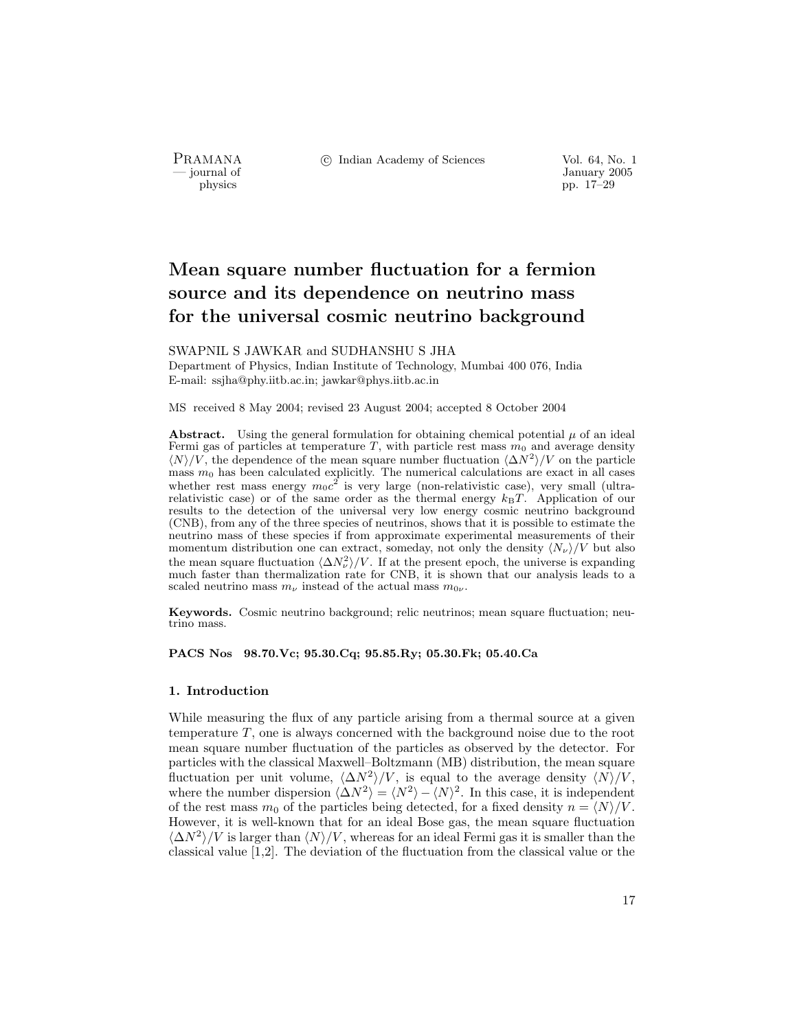PRAMANA °c Indian Academy of Sciences Vol. 64, No. 1

January 2005<br>
physics<br>
pp. 17–29 pp. 17–29

# Mean square number fluctuation for a fermion source and its dependence on neutrino mass for the universal cosmic neutrino background

SWAPNIL S JAWKAR and SUDHANSHU S JHA Department of Physics, Indian Institute of Technology, Mumbai 400 076, India E-mail: ssjha@phy.iitb.ac.in; jawkar@phys.iitb.ac.in

MS received 8 May 2004; revised 23 August 2004; accepted 8 October 2004

**Abstract.** Using the general formulation for obtaining chemical potential  $\mu$  of an ideal Fermi gas of particles at temperature T, with particle rest mass  $m_0$  and average density  $\langle N \rangle/V$ , the dependence of the mean square number fluctuation  $\langle \Delta N^2 \rangle/V$  on the particle mass  $m_0$  has been calculated explicitly. The numerical calculations are exact in all cases whether rest mass energy  $m_0c^2$  is very large (non-relativistic case), very small (ultrarelativistic case) or of the same order as the thermal energy  $k_BT$ . Application of our results to the detection of the universal very low energy cosmic neutrino background (CNB), from any of the three species of neutrinos, shows that it is possible to estimate the neutrino mass of these species if from approximate experimental measurements of their momentum distribution one can extract, someday, not only the density  $\langle N_{\nu} \rangle /V$  but also the mean square fluctuation  $\langle \Delta N_{\nu}^2 \rangle /V$ . If at the present epoch, the universe is expanding much faster than thermalization rate for CNB, it is shown that our analysis leads to a scaled neutrino mass  $m_{\nu}$  instead of the actual mass  $m_{0\nu}$ .

Keywords. Cosmic neutrino background; relic neutrinos; mean square fluctuation; neutrino mass.

PACS Nos 98.70.Vc; 95.30.Cq; 95.85.Ry; 05.30.Fk; 05.40.Ca

## 1. Introduction

While measuring the flux of any particle arising from a thermal source at a given temperature T, one is always concerned with the background noise due to the root mean square number fluctuation of the particles as observed by the detector. For particles with the classical Maxwell–Boltzmann (MB) distribution, the mean square fluctuation per unit volume,  $\langle \Delta N^2 \rangle/V$ , is equal to the average density  $\langle N \rangle/V$ , where the number dispersion  $\langle \Delta N^2 \rangle = \langle N^2 \rangle - \langle N \rangle^2$ . In this case, it is independent of the rest mass  $m_0$  of the particles being detected, for a fixed density  $n = \langle N \rangle / V$ . However, it is well-known that for an ideal Bose gas, the mean square fluctuation  $\langle \Delta N^2 \rangle /V$  is larger than  $\langle N \rangle /V$ , whereas for an ideal Fermi gas it is smaller than the classical value [1,2]. The deviation of the fluctuation from the classical value or the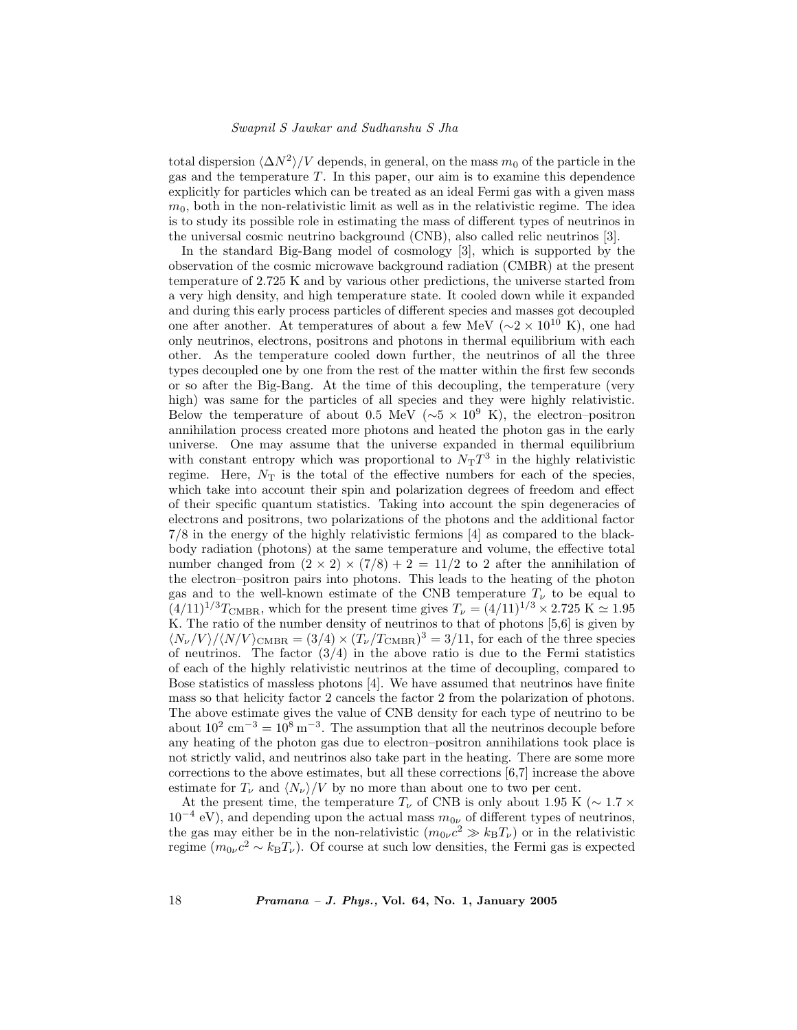total dispersion  $\langle \Delta N^2 \rangle$  /V depends, in general, on the mass  $m_0$  of the particle in the gas and the temperature T. In this paper, our aim is to examine this dependence explicitly for particles which can be treated as an ideal Fermi gas with a given mass  $m<sub>0</sub>$ , both in the non-relativistic limit as well as in the relativistic regime. The idea is to study its possible role in estimating the mass of different types of neutrinos in the universal cosmic neutrino background (CNB), also called relic neutrinos [3].

In the standard Big-Bang model of cosmology [3], which is supported by the observation of the cosmic microwave background radiation (CMBR) at the present temperature of 2.725 K and by various other predictions, the universe started from a very high density, and high temperature state. It cooled down while it expanded and during this early process particles of different species and masses got decoupled one after another. At temperatures of about a few MeV ( $\sim$ 2 × 10<sup>10</sup> K), one had only neutrinos, electrons, positrons and photons in thermal equilibrium with each other. As the temperature cooled down further, the neutrinos of all the three types decoupled one by one from the rest of the matter within the first few seconds or so after the Big-Bang. At the time of this decoupling, the temperature (very high) was same for the particles of all species and they were highly relativistic. Below the temperature of about 0.5 MeV ( $\sim$ 5 × 10<sup>9</sup> K), the electron–positron annihilation process created more photons and heated the photon gas in the early universe. One may assume that the universe expanded in thermal equilibrium with constant entropy which was proportional to  $N_T T^3$  in the highly relativistic regime. Here,  $N<sub>T</sub>$  is the total of the effective numbers for each of the species, which take into account their spin and polarization degrees of freedom and effect of their specific quantum statistics. Taking into account the spin degeneracies of electrons and positrons, two polarizations of the photons and the additional factor 7/8 in the energy of the highly relativistic fermions [4] as compared to the blackbody radiation (photons) at the same temperature and volume, the effective total number changed from  $(2 \times 2) \times (7/8) + 2 = 11/2$  to 2 after the annihilation of the electron–positron pairs into photons. This leads to the heating of the photon gas and to the well-known estimate of the CNB temperature  $T_{\nu}$  to be equal to  $(4/11)^{1/3}T_{\text{CMBR}}$ , which for the present time gives  $T_{\nu} = (4/11)^{1/3} \times 2.725 \text{ K} \approx 1.95$ K. The ratio of the number density of neutrinos to that of photons [5,6] is given by  $\langle N_{\nu}/V \rangle / \langle N/V \rangle_{\text{CMBR}} = (3/4) \times (\tilde{T}_{\nu}/T_{\text{CMBR}})^3 = 3/11$ , for each of the three species of neutrinos. The factor  $(3/4)$  in the above ratio is due to the Fermi statistics of each of the highly relativistic neutrinos at the time of decoupling, compared to Bose statistics of massless photons [4]. We have assumed that neutrinos have finite mass so that helicity factor 2 cancels the factor 2 from the polarization of photons. The above estimate gives the value of CNB density for each type of neutrino to be about  $10^2 \text{ cm}^{-3} = 10^8 \text{ m}^{-3}$ . The assumption that all the neutrinos decouple before any heating of the photon gas due to electron–positron annihilations took place is not strictly valid, and neutrinos also take part in the heating. There are some more corrections to the above estimates, but all these corrections [6,7] increase the above estimate for  $T_{\nu}$  and  $\langle N_{\nu} \rangle / V$  by no more than about one to two per cent.

At the present time, the temperature  $T_{\nu}$  of CNB is only about 1.95 K ( $\sim 1.7 \times$  $10^{-4}$  eV), and depending upon the actual mass  $m_{0\nu}$  of different types of neutrinos, the gas may either be in the non-relativistic  $(m_{0\nu}c^2 \gg k_BT_\nu)$  or in the relativistic regime  $(m_{0\nu}c^2 \sim k_BT_\nu)$ . Of course at such low densities, the Fermi gas is expected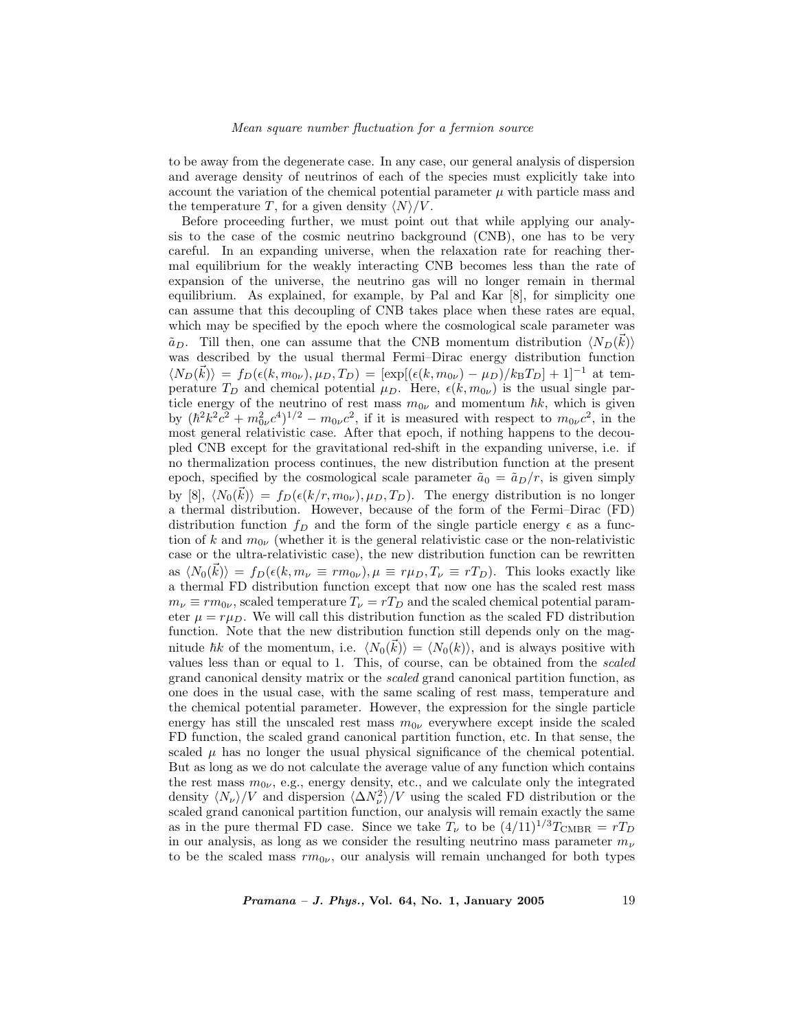to be away from the degenerate case. In any case, our general analysis of dispersion and average density of neutrinos of each of the species must explicitly take into account the variation of the chemical potential parameter  $\mu$  with particle mass and the temperature T, for a given density  $\langle N \rangle /V$ .

Before proceeding further, we must point out that while applying our analysis to the case of the cosmic neutrino background (CNB), one has to be very careful. In an expanding universe, when the relaxation rate for reaching thermal equilibrium for the weakly interacting CNB becomes less than the rate of expansion of the universe, the neutrino gas will no longer remain in thermal equilibrium. As explained, for example, by Pal and Kar [8], for simplicity one can assume that this decoupling of CNB takes place when these rates are equal, which may be specified by the epoch where the cosmological scale parameter was  $\tilde{a}_D$ . Till then, one can assume that the CNB momentum distribution  $\langle N_D(\vec{k}) \rangle$ was described by the usual thermal Fermi–Dirac energy distribution function  $\langle N_D(\vec{k})\rangle = f_D(\epsilon(k, m_{0\nu}), \mu_D, T_D) = [\exp[(\epsilon(k, m_{0\nu}) - \mu_D)/k_BT_D] + 1]^{-1}$  at temperature  $T_D$  and chemical potential  $\mu_D$ . Here,  $\epsilon(k, m_{0\nu})$  is the usual single particle energy of the neutrino of rest mass  $m_{0\nu}$  and momentum  $\hbar k$ , which is given by  $(\hbar^2 k^2 c^2 + m_{0\nu}^2 c^4)^{1/2} - m_{0\nu} c^2$ , if it is measured with respect to  $m_{0\nu} c^2$ , in the most general relativistic case. After that epoch, if nothing happens to the decoupled CNB except for the gravitational red-shift in the expanding universe, i.e. if no thermalization process continues, the new distribution function at the present epoch, specified by the cosmological scale parameter  $\tilde{a}_0 = \tilde{a}_D/r$ , is given simply by [8],  $\langle N_0(\vec{k}) \rangle = f_D(\epsilon(k/r, m_{0\nu}), \mu_D, T_D)$ . The energy distribution is no longer a thermal distribution. However, because of the form of the Fermi–Dirac (FD) distribution function  $f<sub>D</sub>$  and the form of the single particle energy  $\epsilon$  as a function of k and  $m_{0\nu}$  (whether it is the general relativistic case or the non-relativistic case or the ultra-relativistic case), the new distribution function can be rewritten as  $\langle N_0(\vec{k})\rangle = f_D(\epsilon(k, m_\nu \equiv rm_{0\nu}), \mu \equiv r\mu_D, T_\nu \equiv rT_D)$ . This looks exactly like a thermal FD distribution function except that now one has the scaled rest mass  $m_{\nu} \equiv r m_{0\nu}$ , scaled temperature  $T_{\nu} = r T_D$  and the scaled chemical potential parameter  $\mu = r \mu_D$ . We will call this distribution function as the scaled FD distribution function. Note that the new distribution function still depends only on the magnitude  $\hbar k$  of the momentum, i.e.  $\langle N_0(\vec{k})\rangle = \langle N_0(k)\rangle$ , and is always positive with values less than or equal to 1. This, of course, can be obtained from the scaled grand canonical density matrix or the scaled grand canonical partition function, as one does in the usual case, with the same scaling of rest mass, temperature and the chemical potential parameter. However, the expression for the single particle energy has still the unscaled rest mass  $m_{0\nu}$  everywhere except inside the scaled FD function, the scaled grand canonical partition function, etc. In that sense, the scaled  $\mu$  has no longer the usual physical significance of the chemical potential. But as long as we do not calculate the average value of any function which contains the rest mass  $m_{0\nu}$ , e.g., energy density, etc., and we calculate only the integrated density  $\langle N_{\nu} \rangle/V$  and dispersion  $\langle \Delta N_{\nu}^2 \rangle/V$  using the scaled FD distribution or the scaled grand canonical partition function, our analysis will remain exactly the same as in the pure thermal FD case. Since we take  $T_{\nu}$  to be  $(4/11)^{1/3}T_{\text{CMBR}} = rT_D$ in our analysis, as long as we consider the resulting neutrino mass parameter  $m_{\nu}$ to be the scaled mass  $rm_{0\nu}$ , our analysis will remain unchanged for both types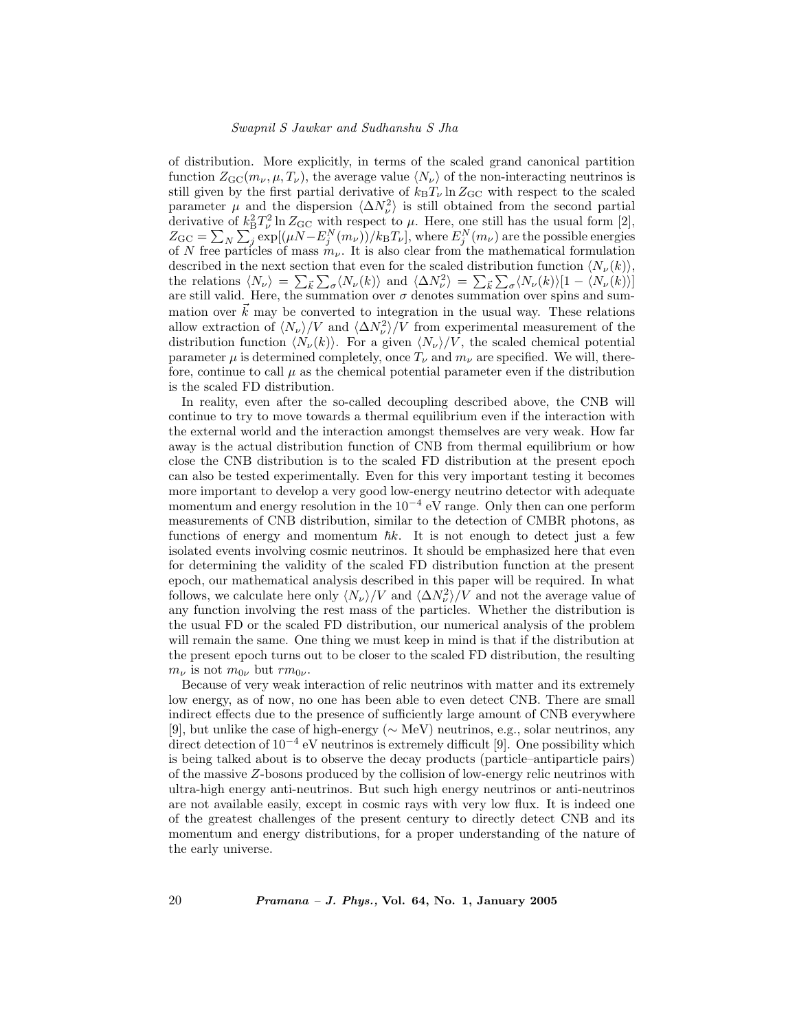of distribution. More explicitly, in terms of the scaled grand canonical partition function  $Z_{\text{GC}}(m_{\nu}, \mu, T_{\nu})$ , the average value  $\langle N_{\nu} \rangle$  of the non-interacting neutrinos is still given by the first partial derivative of  $k_BT_\nu \ln Z_{\rm GC}$  with respect to the scaled parameter  $\mu$  and the dispersion  $\langle \Delta N_{\nu}^2 \rangle$  is still obtained from the second partial derivative of  $k_B^2 T_\nu^2 \ln Z_{\text{GC}}$  with respect to  $\mu$ . Here, one still has the usual form [2],  $Z_{\rm GC} = \sum_N \sum_j \exp[(\mu N - E_j^N(m_\nu))/k_{\rm B}T_\nu]$ , where  $E_j^N(m_\nu)$  are the possible energies of N free particles of mass  $m_{\nu}$ . It is also clear from the mathematical formulation described in the next section that even for the scaled distribution function  $\langle N_{\nu}(k)\rangle$ , the relations  $\langle N_{\nu} \rangle = \sum_{\vec{k}} \sum_{\sigma} \langle N_{\nu}(k) \rangle$  and  $\langle \Delta N_{\nu}^2 \rangle = \sum_{\vec{k}} \sum_{\sigma} \langle N_{\nu}(k) \rangle [1 - \langle N_{\nu}(k) \rangle]$ are still valid. Here, the summation over  $\sigma$  denotes summation over spins and summation over  $\vec{k}$  may be converted to integration in the usual way. These relations allow extraction of  $\langle N_{\nu}\rangle/V$  and  $\langle \Delta N_{\nu}^2\rangle/V$  from experimental measurement of the distribution function  $\langle N_{\nu}(k) \rangle$ . For a given  $\langle N_{\nu} \rangle/V$ , the scaled chemical potential parameter  $\mu$  is determined completely, once  $T_{\nu}$  and  $m_{\nu}$  are specified. We will, therefore, continue to call  $\mu$  as the chemical potential parameter even if the distribution is the scaled FD distribution.

In reality, even after the so-called decoupling described above, the CNB will continue to try to move towards a thermal equilibrium even if the interaction with the external world and the interaction amongst themselves are very weak. How far away is the actual distribution function of CNB from thermal equilibrium or how close the CNB distribution is to the scaled FD distribution at the present epoch can also be tested experimentally. Even for this very important testing it becomes more important to develop a very good low-energy neutrino detector with adequate momentum and energy resolution in the  $10^{-4}$  eV range. Only then can one perform measurements of CNB distribution, similar to the detection of CMBR photons, as functions of energy and momentum  $\hbar k$ . It is not enough to detect just a few isolated events involving cosmic neutrinos. It should be emphasized here that even for determining the validity of the scaled FD distribution function at the present epoch, our mathematical analysis described in this paper will be required. In what follows, we calculate here only  $\langle N_{\nu} \rangle/V$  and  $\langle \Delta N_{\nu}^2 \rangle/V$  and not the average value of any function involving the rest mass of the particles. Whether the distribution is the usual FD or the scaled FD distribution, our numerical analysis of the problem will remain the same. One thing we must keep in mind is that if the distribution at the present epoch turns out to be closer to the scaled FD distribution, the resulting  $m_{\nu}$  is not  $m_{0\nu}$  but  $rm_{0\nu}$ .

Because of very weak interaction of relic neutrinos with matter and its extremely low energy, as of now, no one has been able to even detect CNB. There are small indirect effects due to the presence of sufficiently large amount of CNB everywhere [9], but unlike the case of high-energy (∼ MeV) neutrinos, e.g., solar neutrinos, any direct detection of  $10^{-4}$  eV neutrinos is extremely difficult [9]. One possibility which is being talked about is to observe the decay products (particle–antiparticle pairs) of the massive Z-bosons produced by the collision of low-energy relic neutrinos with ultra-high energy anti-neutrinos. But such high energy neutrinos or anti-neutrinos are not available easily, except in cosmic rays with very low flux. It is indeed one of the greatest challenges of the present century to directly detect CNB and its momentum and energy distributions, for a proper understanding of the nature of the early universe.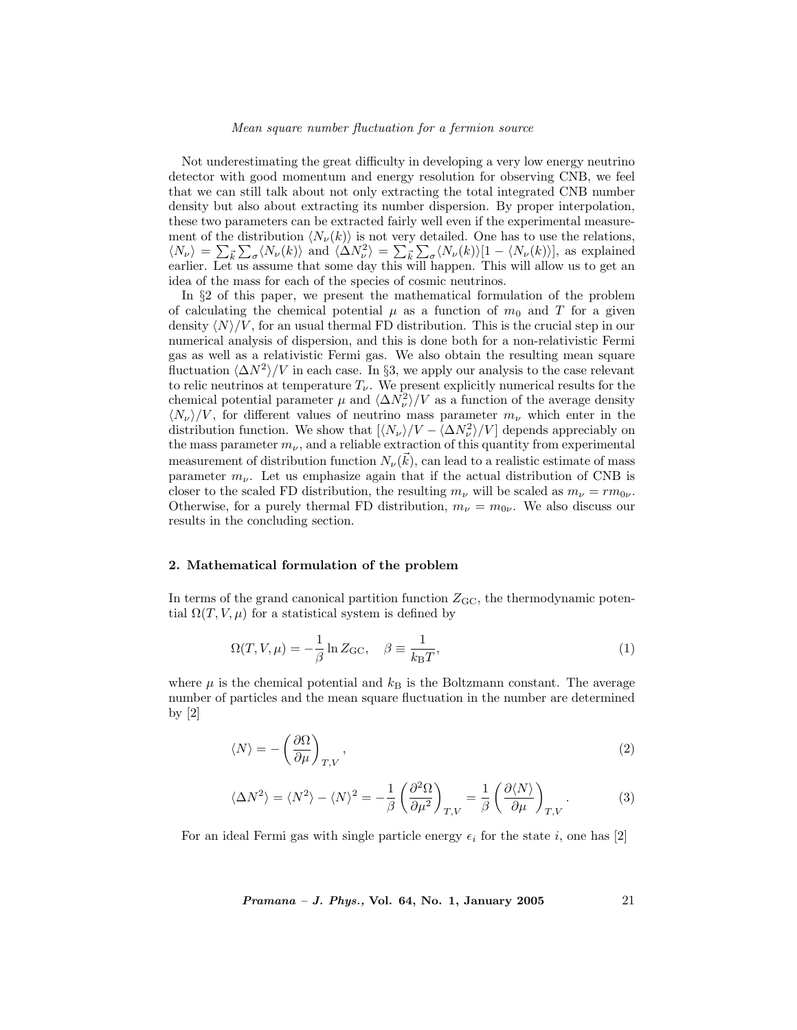Not underestimating the great difficulty in developing a very low energy neutrino detector with good momentum and energy resolution for observing CNB, we feel that we can still talk about not only extracting the total integrated CNB number density but also about extracting its number dispersion. By proper interpolation, these two parameters can be extracted fairly well even if the experimental measurement of the distribution  $\langle N_{\nu}(k)\rangle$  is not very detailed. One has to use the relations,  $\langle N_{\nu} \rangle = \sum_{\vec{k}} \sum_{\sigma} \langle N_{\nu}(k) \rangle$  and  $\langle \Delta N_{\nu}^2 \rangle = \sum_{\vec{k}} \sum_{\sigma} \langle N_{\nu}(k) \rangle [1 - \langle N_{\nu}(k) \rangle],$  as explained earlier. Let us assume that some day this will happen. This will allow us to get an idea of the mass for each of the species of cosmic neutrinos.

In §2 of this paper, we present the mathematical formulation of the problem of calculating the chemical potential  $\mu$  as a function of  $m_0$  and T for a given density  $\langle N \rangle /V$ , for an usual thermal FD distribution. This is the crucial step in our numerical analysis of dispersion, and this is done both for a non-relativistic Fermi gas as well as a relativistic Fermi gas. We also obtain the resulting mean square fluctuation  $\langle \Delta N^2 \rangle/V$  in each case. In §3, we apply our analysis to the case relevant to relic neutrinos at temperature  $T_{\nu}$ . We present explicitly numerical results for the chemical potential parameter  $\mu$  and  $\langle \Delta N_{\nu}^2 \rangle / V$  as a function of the average density  $\langle N_{\nu}\rangle/V$ , for different values of neutrino mass parameter  $m_{\nu}$  which enter in the distribution function. We show that  $\left[\langle N_{\nu}\rangle/V - \langle \Delta N_{\nu}^2\rangle/V \right]$  depends appreciably on the mass parameter  $m_{\nu}$ , and a reliable extraction of this quantity from experimental measurement of distribution function  $N_{\nu}(\vec{k})$ , can lead to a realistic estimate of mass parameter  $m_{\nu}$ . Let us emphasize again that if the actual distribution of CNB is closer to the scaled FD distribution, the resulting  $m_{\nu}$  will be scaled as  $m_{\nu} = rm_{0\nu}$ . Otherwise, for a purely thermal FD distribution,  $m_{\nu} = m_{0\nu}$ . We also discuss our results in the concluding section.

## 2. Mathematical formulation of the problem

In terms of the grand canonical partition function  $Z_{\text{GC}}$ , the thermodynamic potential  $\Omega(T, V, \mu)$  for a statistical system is defined by

$$
\Omega(T, V, \mu) = -\frac{1}{\beta} \ln Z_{\rm GC}, \quad \beta \equiv \frac{1}{k_{\rm B}T},\tag{1}
$$

where  $\mu$  is the chemical potential and  $k_B$  is the Boltzmann constant. The average number of particles and the mean square fluctuation in the number are determined by [2]

$$
\langle N \rangle = -\left(\frac{\partial \Omega}{\partial \mu}\right)_{T,V},\tag{2}
$$

$$
\langle \Delta N^2 \rangle = \langle N^2 \rangle - \langle N \rangle^2 = -\frac{1}{\beta} \left( \frac{\partial^2 \Omega}{\partial \mu^2} \right)_{T,V} = \frac{1}{\beta} \left( \frac{\partial \langle N \rangle}{\partial \mu} \right)_{T,V} . \tag{3}
$$

For an ideal Fermi gas with single particle energy  $\epsilon_i$  for the state i, one has [2]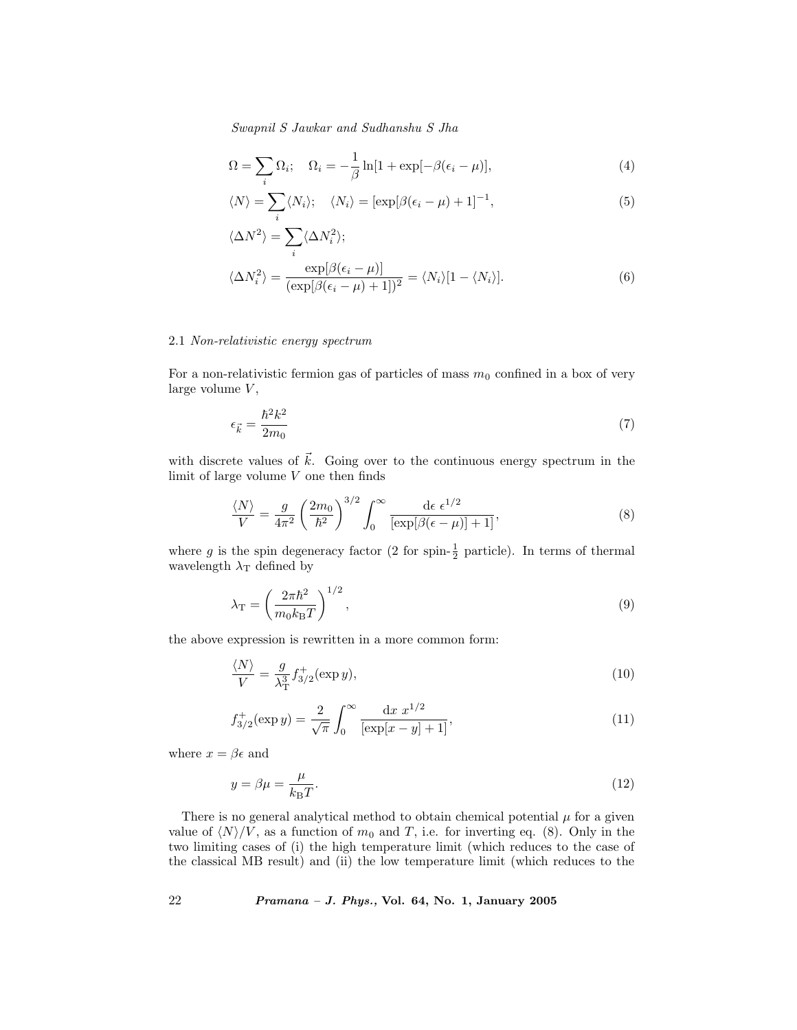$$
\Omega = \sum_{i} \Omega_{i}; \quad \Omega_{i} = -\frac{1}{\beta} \ln[1 + \exp[-\beta(\epsilon_{i} - \mu)], \tag{4}
$$

$$
\langle N \rangle = \sum_{i} \langle N_{i} \rangle; \quad \langle N_{i} \rangle = [\exp[\beta(\epsilon_{i} - \mu) + 1]^{-1}, \tag{5}
$$

$$
\langle \Delta N^2 \rangle = \sum_{i} \langle \Delta N_i^2 \rangle;
$$
  

$$
\langle \Delta N_i^2 \rangle = \frac{\exp[\beta(\epsilon_i - \mu)]}{(\exp[\beta(\epsilon_i - \mu) + 1])^2} = \langle N_i \rangle [1 - \langle N_i \rangle].
$$
 (6)

# 2.1 Non-relativistic energy spectrum

For a non-relativistic fermion gas of particles of mass  $m_0$  confined in a box of very large volume  $V$ ,

$$
\epsilon_{\vec{k}} = \frac{\hbar^2 k^2}{2m_0} \tag{7}
$$

with discrete values of  $\vec{k}$ . Going over to the continuous energy spectrum in the limit of large volume  $V$  one then finds

$$
\frac{\langle N \rangle}{V} = \frac{g}{4\pi^2} \left(\frac{2m_0}{\hbar^2}\right)^{3/2} \int_0^\infty \frac{\mathrm{d}\epsilon \ \epsilon^{1/2}}{\left[\exp[\beta(\epsilon - \mu)] + 1\right]},\tag{8}
$$

where g is the spin degeneracy factor (2 for spin- $\frac{1}{2}$  particle). In terms of thermal wavelength  $\lambda_T$  defined by

$$
\lambda_{\rm T} = \left(\frac{2\pi\hbar^2}{m_0 k_{\rm B} T}\right)^{1/2},\tag{9}
$$

the above expression is rewritten in a more common form:

$$
\frac{\langle N \rangle}{V} = \frac{g}{\lambda_{\rm T}^3} f_{3/2}^+(\exp y),\tag{10}
$$

$$
f_{3/2}^+(\exp y) = \frac{2}{\sqrt{\pi}} \int_0^\infty \frac{\mathrm{d}x \ x^{1/2}}{[\exp[x-y] + 1]},\tag{11}
$$

where  $x = \beta \epsilon$  and

$$
y = \beta \mu = \frac{\mu}{k_{\text{B}}T}.\tag{12}
$$

There is no general analytical method to obtain chemical potential  $\mu$  for a given value of  $\langle N \rangle/V$ , as a function of  $m_0$  and T, i.e. for inverting eq. (8). Only in the two limiting cases of (i) the high temperature limit (which reduces to the case of the classical MB result) and (ii) the low temperature limit (which reduces to the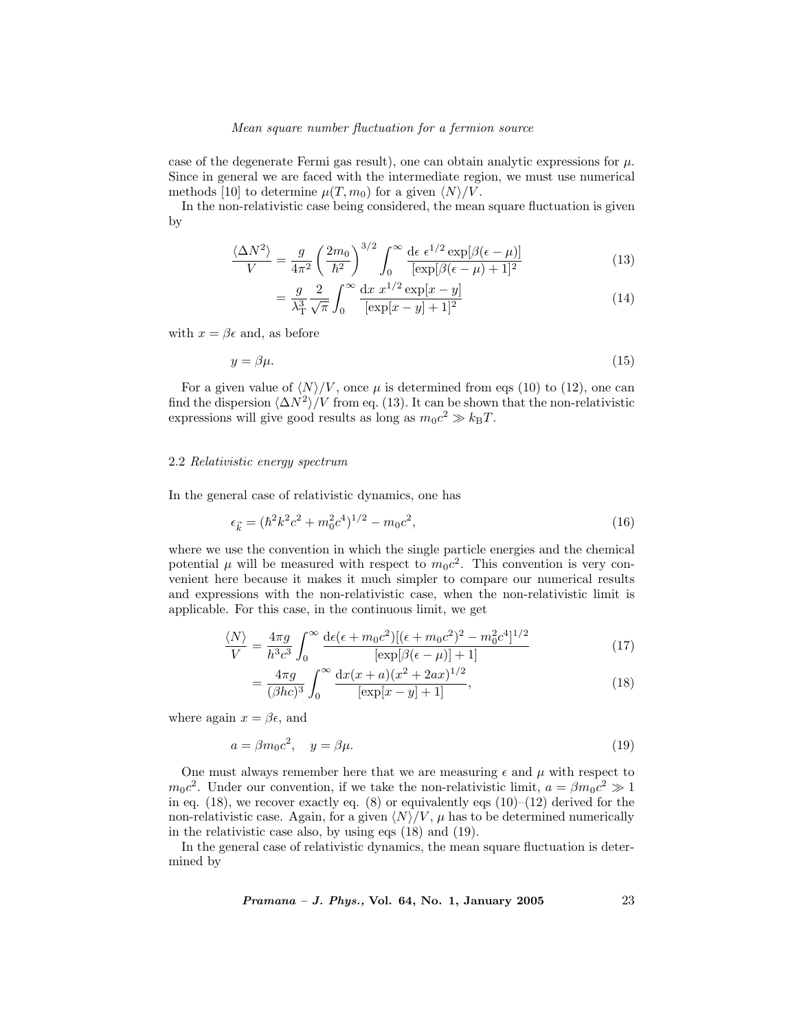case of the degenerate Fermi gas result), one can obtain analytic expressions for  $\mu$ . Since in general we are faced with the intermediate region, we must use numerical methods [10] to determine  $\mu(T, m_0)$  for a given  $\langle N \rangle /V$ .

In the non-relativistic case being considered, the mean square fluctuation is given by

$$
\frac{\langle \Delta N^2 \rangle}{V} = \frac{g}{4\pi^2} \left( \frac{2m_0}{\hbar^2} \right)^{3/2} \int_0^\infty \frac{d\epsilon \epsilon^{1/2} \exp[\beta(\epsilon - \mu)]}{[\exp[\beta(\epsilon - \mu) + 1]^2} \tag{13}
$$

$$
= \frac{g}{\lambda_{\rm T}^3} \frac{2}{\sqrt{\pi}} \int_0^\infty \frac{\mathrm{d}x \ x^{1/2} \exp[x - y]}{[\exp[x - y] + 1]^2} \tag{14}
$$

with  $x = \beta \epsilon$  and, as before

$$
y = \beta \mu. \tag{15}
$$

For a given value of  $\langle N \rangle / V$ , once  $\mu$  is determined from eqs (10) to (12), one can find the dispersion  $\langle \Delta N^2 \rangle$ /V from eq. (13). It can be shown that the non-relativistic expressions will give good results as long as  $m_0c^2 \gg k_BT$ .

#### 2.2 Relativistic energy spectrum

In the general case of relativistic dynamics, one has

$$
\epsilon_{\vec{k}} = (\hbar^2 k^2 c^2 + m_0^2 c^4)^{1/2} - m_0 c^2,\tag{16}
$$

where we use the convention in which the single particle energies and the chemical potential  $\mu$  will be measured with respect to  $m_0c^2$ . This convention is very convenient here because it makes it much simpler to compare our numerical results and expressions with the non-relativistic case, when the non-relativistic limit is applicable. For this case, in the continuous limit, we get

$$
\frac{\langle N \rangle}{V} = \frac{4\pi g}{h^3 c^3} \int_0^\infty \frac{\mathrm{d}\epsilon(\epsilon + m_0 c^2) [(\epsilon + m_0 c^2)^2 - m_0^2 c^4]^{1/2}}{[\exp[\beta(\epsilon - \mu)] + 1]}
$$
(17)

$$
= \frac{4\pi g}{(\beta hc)^3} \int_0^\infty \frac{\mathrm{d}x(x+a)(x^2+2ax)^{1/2}}{[\exp[x-y]+1]},\tag{18}
$$

where again  $x = \beta \epsilon$ , and

$$
a = \beta m_0 c^2, \quad y = \beta \mu. \tag{19}
$$

One must always remember here that we are measuring  $\epsilon$  and  $\mu$  with respect to  $m_0c^2$ . Under our convention, if we take the non-relativistic limit,  $a = \beta m_0c^2 \gg 1$ in eq.  $(18)$ , we recover exactly eq.  $(8)$  or equivalently eqs  $(10)–(12)$  derived for the non-relativistic case. Again, for a given  $\langle N \rangle / V$ ,  $\mu$  has to be determined numerically in the relativistic case also, by using eqs (18) and (19).

In the general case of relativistic dynamics, the mean square fluctuation is determined by

$$
Pramana - J. Phys., Vol. 64, No. 1, January 2005 \qquad \qquad 23
$$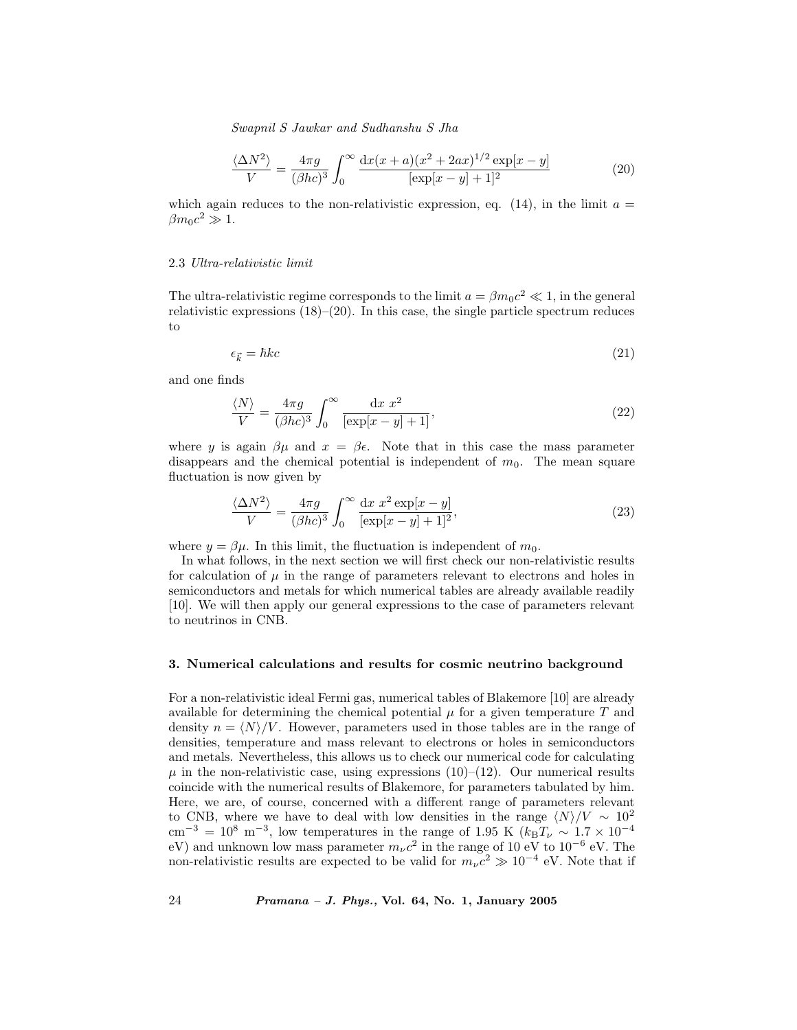$$
\frac{\langle \Delta N^2 \rangle}{V} = \frac{4\pi g}{(\beta hc)^3} \int_0^\infty \frac{\mathrm{d}x(x+a)(x^2 + 2ax)^{1/2} \exp[x-y]}{[\exp[x-y] + 1]^2} \tag{20}
$$

which again reduces to the non-relativistic expression, eq.  $(14)$ , in the limit  $a =$  $\beta m_0 c^2 \gg 1.$ 

#### 2.3 Ultra-relativistic limit

The ultra-relativistic regime corresponds to the limit  $a = \beta m_0 c^2 \ll 1$ , in the general relativistic expressions  $(18)$ – $(20)$ . In this case, the single particle spectrum reduces to

$$
\epsilon_{\vec{k}} = \hbar k c \tag{21}
$$

and one finds

$$
\frac{\langle N \rangle}{V} = \frac{4\pi g}{(\beta hc)^3} \int_0^\infty \frac{\mathrm{d}x \, x^2}{\left[\exp[x-y] + 1\right]},\tag{22}
$$

where y is again  $\beta\mu$  and  $x = \beta\epsilon$ . Note that in this case the mass parameter disappears and the chemical potential is independent of  $m_0$ . The mean square fluctuation is now given by

$$
\frac{\langle \Delta N^2 \rangle}{V} = \frac{4\pi g}{(\beta hc)^3} \int_0^\infty \frac{\mathrm{d}x \ x^2 \exp[x-y]}{[\exp[x-y] + 1]^2},\tag{23}
$$

where  $y = \beta \mu$ . In this limit, the fluctuation is independent of  $m_0$ .

In what follows, in the next section we will first check our non-relativistic results for calculation of  $\mu$  in the range of parameters relevant to electrons and holes in semiconductors and metals for which numerical tables are already available readily [10]. We will then apply our general expressions to the case of parameters relevant to neutrinos in CNB.

# 3. Numerical calculations and results for cosmic neutrino background

For a non-relativistic ideal Fermi gas, numerical tables of Blakemore [10] are already available for determining the chemical potential  $\mu$  for a given temperature T and density  $n = \langle N \rangle /V$ . However, parameters used in those tables are in the range of densities, temperature and mass relevant to electrons or holes in semiconductors and metals. Nevertheless, this allows us to check our numerical code for calculating  $\mu$  in the non-relativistic case, using expressions (10)–(12). Our numerical results coincide with the numerical results of Blakemore, for parameters tabulated by him. Here, we are, of course, concerned with a different range of parameters relevant to CNB, where we have to deal with low densities in the range  $\langle N \rangle / V \sim 10^{2}$  $\text{cm}^{-3} = 10^8 \text{ m}^{-3}$ , low temperatures in the range of 1.95 K (kBT<sub>v</sub> ∼ 1.7 × 10<sup>-4</sup> eV) and unknown low mass parameter  $m_{\nu}c^2$  in the range of 10 eV to 10<sup>-6</sup> eV. The non-relativistic results are expected to be valid for  $m_{\nu}c^2 \gg 10^{-4}$  eV. Note that if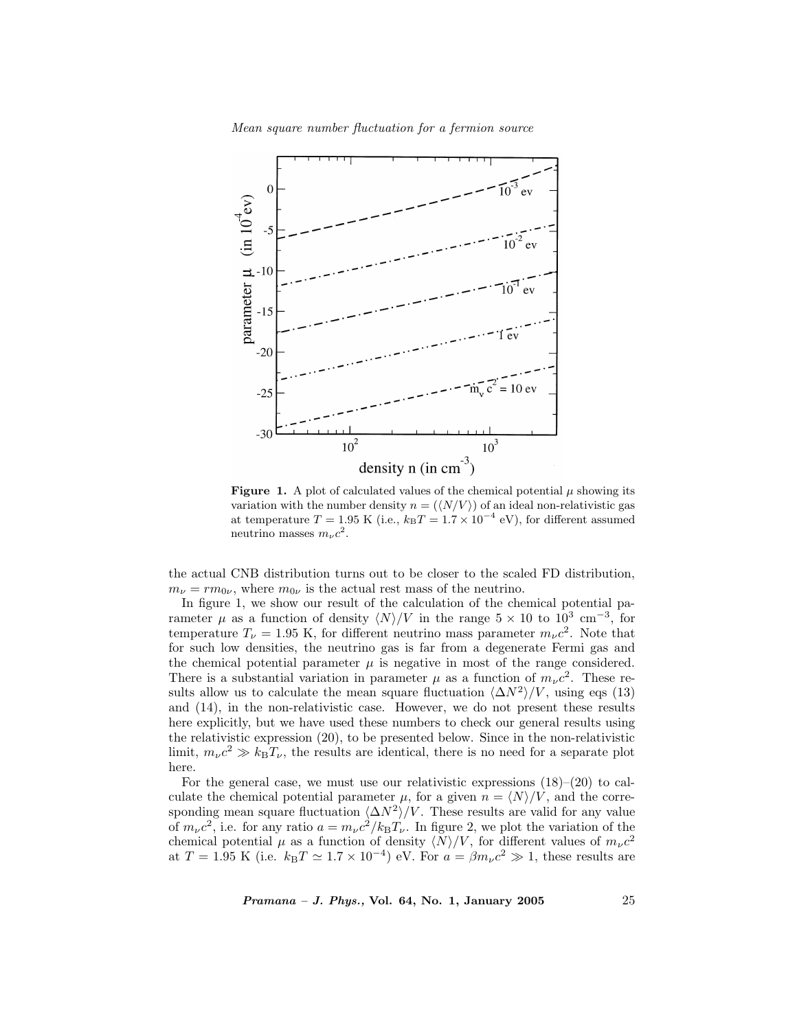

**Figure 1.** A plot of calculated values of the chemical potential  $\mu$  showing its variation with the number density  $n = (\langle N/V \rangle)$  of an ideal non-relativistic gas at temperature  $T = 1.95$  K (i.e.,  $k_BT = 1.7 \times 10^{-4}$  eV), for different assumed neutrino masses  $m_{\nu}c^2$ .

the actual CNB distribution turns out to be closer to the scaled FD distribution,  $m_{\nu} = r m_{0\nu}$ , where  $m_{0\nu}$  is the actual rest mass of the neutrino.

In figure 1, we show our result of the calculation of the chemical potential parameter  $\mu$  as a function of density  $\langle N \rangle/V$  in the range 5 × 10 to 10<sup>3</sup> cm<sup>-3</sup>, for temperature  $T_{\nu} = 1.95$  K, for different neutrino mass parameter  $m_{\nu}c^2$ . Note that for such low densities, the neutrino gas is far from a degenerate Fermi gas and the chemical potential parameter  $\mu$  is negative in most of the range considered. There is a substantial variation in parameter  $\mu$  as a function of  $m_{\nu}c^2$ . These results allow us to calculate the mean square fluctuation  $\langle \Delta N^2 \rangle /V$ , using eqs (13) and (14), in the non-relativistic case. However, we do not present these results here explicitly, but we have used these numbers to check our general results using the relativistic expression (20), to be presented below. Since in the non-relativistic limit,  $m_{\nu}c^2 \gg k_BT_{\nu}$ , the results are identical, there is no need for a separate plot here.

For the general case, we must use our relativistic expressions  $(18)$ – $(20)$  to calculate the chemical potential parameter  $\mu$ , for a given  $n = \langle N \rangle / V$ , and the corresponding mean square fluctuation  $\langle \Delta N^2 \rangle /V$ . These results are valid for any value of  $m_{\nu}c^2$ , i.e. for any ratio  $a = m_{\nu}c^2/k_BT_{\nu}$ . In figure 2, we plot the variation of the chemical potential  $\mu$  as a function of density  $\langle N \rangle/V$ , for different values of  $m_{\nu}c^2$ at  $T = 1.95$  K (i.e.  $k_BT \simeq 1.7 \times 10^{-4}$ ) eV. For  $a = \beta m_\nu c^2 \gg 1$ , these results are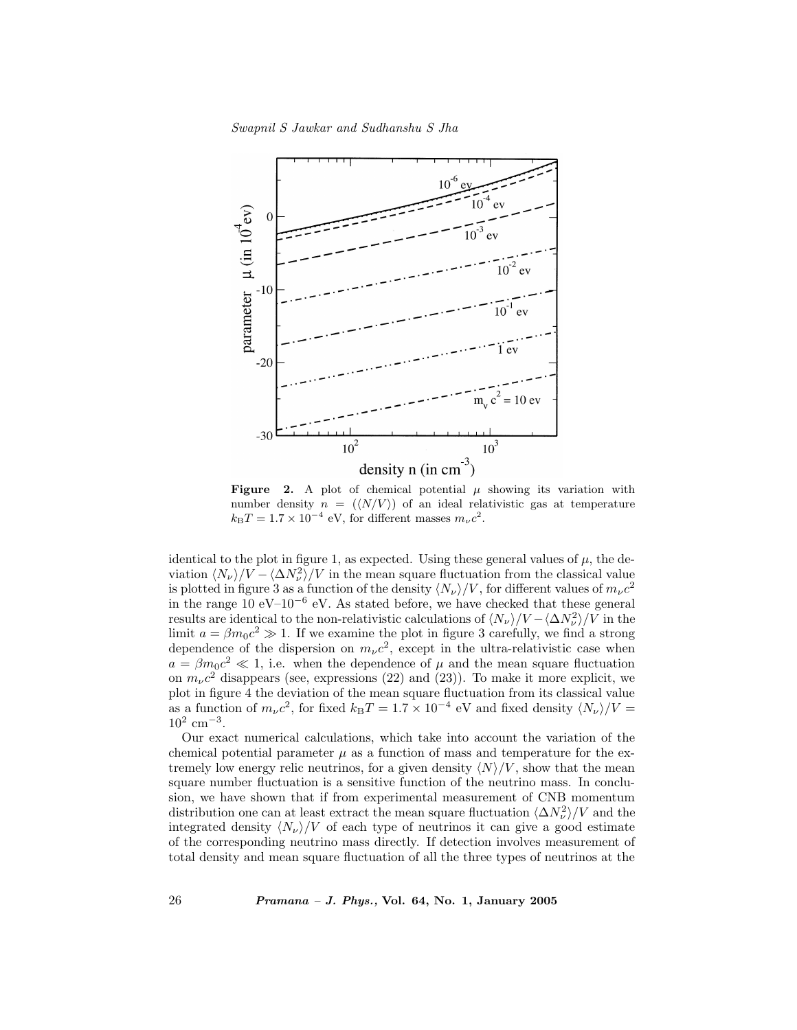

Figure 2. A plot of chemical potential  $\mu$  showing its variation with number density  $n = (\langle N/V \rangle)$  of an ideal relativistic gas at temperature  $k_{\rm B}T = 1.7 \times 10^{-4}$  eV, for different masses  $m_{\nu}c^2$ .

identical to the plot in figure 1, as expected. Using these general values of  $\mu$ , the deviation  $\langle N_{\nu}\rangle/V - \langle \Delta N_{\nu}^2 \rangle/V$  in the mean square fluctuation from the classical value is plotted in figure 3 as a function of the density  $\langle N_{\nu} \rangle/V$ , for different values of  $m_{\nu}c^2$ in the range 10 eV–10<sup>-6</sup> eV. As stated before, we have checked that these general results are identical to the non-relativistic calculations of  $\langle N_{\nu}\rangle/V - \langle \Delta N_{\nu}^2\rangle/V$  in the limit  $a = \beta m_0 c^2 \gg 1$ . If we examine the plot in figure 3 carefully, we find a strong dependence of the dispersion on  $m_{\nu}c^2$ , except in the ultra-relativistic case when  $a = \beta m_0 c^2 \ll 1$ , i.e. when the dependence of  $\mu$  and the mean square fluctuation on  $m_{\nu}c^2$  disappears (see, expressions (22) and (23)). To make it more explicit, we plot in figure 4 the deviation of the mean square fluctuation from its classical value as a function of  $m_{\nu}c^2$ , for fixed  $k_{\rm B}T = 1.7 \times 10^{-4}$  eV and fixed density  $\langle N_{\nu} \rangle/V =$  $10^2$   $\mathrm{cm^{-3}}.$ 

Our exact numerical calculations, which take into account the variation of the chemical potential parameter  $\mu$  as a function of mass and temperature for the extremely low energy relic neutrinos, for a given density  $\langle N \rangle / V$ , show that the mean square number fluctuation is a sensitive function of the neutrino mass. In conclusion, we have shown that if from experimental measurement of CNB momentum distribution one can at least extract the mean square fluctuation  $\langle \Delta N_{\nu}^2 \rangle / V$  and the integrated density  $\langle N_{\nu} \rangle / V$  of each type of neutrinos it can give a good estimate of the corresponding neutrino mass directly. If detection involves measurement of total density and mean square fluctuation of all the three types of neutrinos at the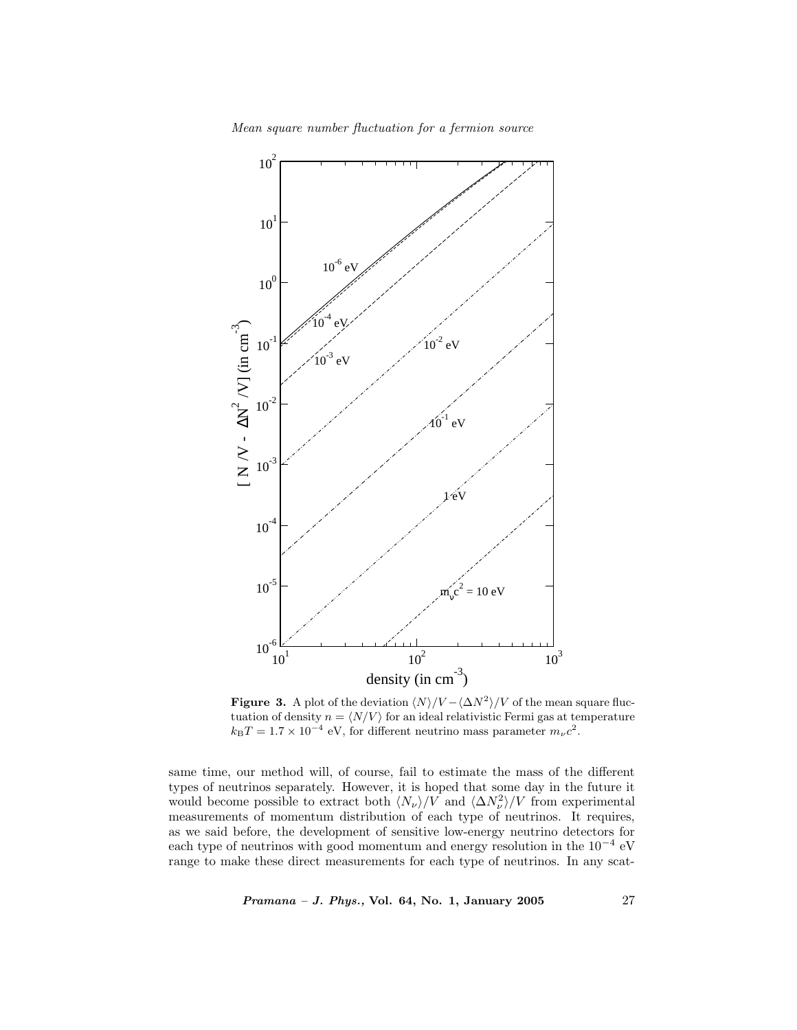



**Figure 3.** A plot of the deviation  $\langle N \rangle / V - \langle \Delta N^2 \rangle / V$  of the mean square fluctuation of density  $n = \langle N/V \rangle$  for an ideal relativistic Fermi gas at temperature  $k_{\rm B}T=1.7\times 10^{-4}$  eV, for different neutrino mass parameter  $m_\nu c^2.$ 

same time, our method will, of course, fail to estimate the mass of the different types of neutrinos separately. However, it is hoped that some day in the future it would become possible to extract both  $\langle N_{\nu} \rangle/V$  and  $\langle \Delta N_{\nu}^2 \rangle/V$  from experimental measurements of momentum distribution of each type of neutrinos. It requires, as we said before, the development of sensitive low-energy neutrino detectors for each type of neutrinos with good momentum and energy resolution in the 10<sup>−</sup><sup>4</sup> eV range to make these direct measurements for each type of neutrinos. In any scat-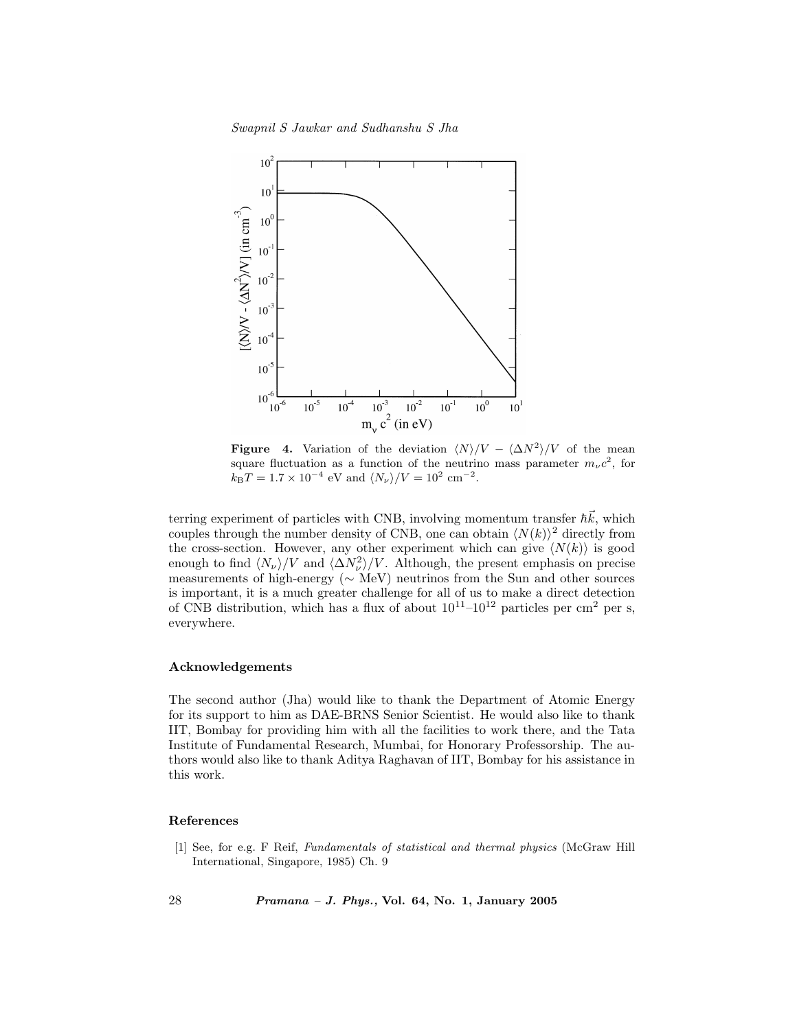Swapnil S Jawkar and Sudhanshu S Jha



Figure 4. Variation of the deviation  $\langle N \rangle/V - \langle \Delta N^2 \rangle/V$  of the mean square fluctuation as a function of the neutrino mass parameter  $m_{\nu}c^2$ , for  $k_{\rm B}T = 1.7 \times 10^{-4}$  eV and  $\langle N_{\nu} \rangle/V = 10^2$  cm<sup>-2</sup>.

terring experiment of particles with CNB, involving momentum transfer  $\hbar \vec{k}$ , which couples through the number density of CNB, one can obtain  $\langle N(k)\rangle^2$  directly from the cross-section. However, any other experiment which can give  $\langle N(k) \rangle$  is good enough to find  $\langle N_{\nu}\rangle/V$  and  $\langle \Delta N_{\nu}^2\rangle/V$ . Although, the present emphasis on precise measurements of high-energy (∼ MeV) neutrinos from the Sun and other sources is important, it is a much greater challenge for all of us to make a direct detection of CNB distribution, which has a flux of about  $10^{11}$ – $10^{12}$  particles per cm<sup>2</sup> per s, everywhere.

# Acknowledgements

The second author (Jha) would like to thank the Department of Atomic Energy for its support to him as DAE-BRNS Senior Scientist. He would also like to thank IIT, Bombay for providing him with all the facilities to work there, and the Tata Institute of Fundamental Research, Mumbai, for Honorary Professorship. The authors would also like to thank Aditya Raghavan of IIT, Bombay for his assistance in this work.

## References

[1] See, for e.g. F Reif, Fundamentals of statistical and thermal physics (McGraw Hill International, Singapore, 1985) Ch. 9